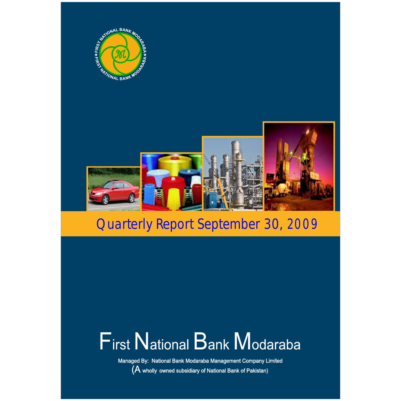

# **First National Bank Modaraba**

Managed By: National Bank Modaraba Management Company Limited (A wholly owned subsidiary of National Bank of Pakistan)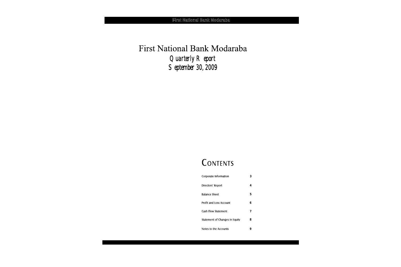First National Bank Modaraba *Quarterly Report September 30, 2009*

# CONTENTS

| Corporate Information          | 3 |
|--------------------------------|---|
| Directors' Report              | 4 |
| <b>Balance Sheet</b>           | 5 |
| Profit and Loss Account        | 6 |
| Cash Flow Statement            | 7 |
| Statement of Changes in Equity | 8 |
| Notes to the Accounts          | 9 |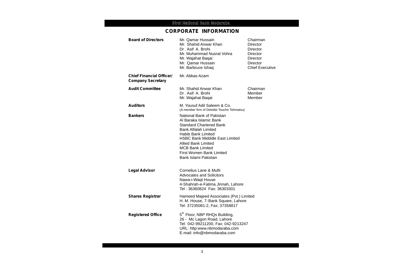# **CORPORATE INFORMATION**

| <b>Board of Directors</b>                                   | Mr. Qamar Hussain<br>Mr. Shahid Anwar Khan<br>Dr. Asif A. Brohi<br>Mr. Muhammad Nusrat Vohra<br>Mr. Wajahat Baqai<br>Mr. Qamar Hussain<br>Mr. Barbruce Ishaq                                                                                                                                                   | Chairman<br><b>Director</b><br><b>Director</b><br>Director<br><b>Director</b><br><b>Director</b><br><b>Chief Executive</b> |
|-------------------------------------------------------------|----------------------------------------------------------------------------------------------------------------------------------------------------------------------------------------------------------------------------------------------------------------------------------------------------------------|----------------------------------------------------------------------------------------------------------------------------|
| <b>Chief Financial Officer/</b><br><b>Company Secretary</b> | Mr. Abbas Azam                                                                                                                                                                                                                                                                                                 |                                                                                                                            |
| <b>Audit Committee</b>                                      | Mr. Shahid Anwar Khan<br>Dr. Asif A. Brohi<br>Mr. Wajahat Baqai                                                                                                                                                                                                                                                | Chairman<br>Member<br>Member                                                                                               |
| <b>Auditors</b>                                             | M. Yousuf Adil Saleem & Co.<br>(A member firm of Deloitte Touche Tohmatsu)                                                                                                                                                                                                                                     |                                                                                                                            |
| <b>Bankers</b>                                              | National Bank of Pakistan<br>Al Baraka Islamic Bank<br><b>Standard Chartered Bank</b><br><b>Bank Alfalah Limited</b><br><b>Habib Bank Limited</b><br><b>HSBC Bank Midddle East Limited</b><br><b>Allied Bank Limited</b><br><b>MCB Bank Limited</b><br><b>First Women Bank Limited</b><br>Bank Islami Pakistan |                                                                                                                            |
| <b>Legal Advisor</b>                                        | Cornelius Lane & Mufti<br><b>Advocates and Solicitors</b><br>Nawa-i-Waqt House<br>4-Shahrah-e-Fatima Jinnah, Lahore                                                                                                                                                                                            |                                                                                                                            |
| <b>Shares Registrar</b>                                     | Hameed Majeed Associates (Pvt.) Limited<br>H. M. House, 7-Bank Square, Lahore<br>Tel: 37235081-2, Fax: 37358817                                                                                                                                                                                                |                                                                                                                            |
| <b>Registered Office</b>                                    | 5 <sup>th</sup> Floor, NBP RHQs Building,<br>26 - Mc Lagon Road, Lahore<br>Tel: 042-99211200, Fax: 042-9213247<br>URL: http:www.nbmodaraba.com<br>E-mail: info@nbmodaraba.com                                                                                                                                  |                                                                                                                            |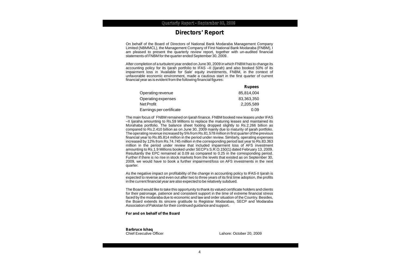### **Directors' Report**

On behalf of the Board of Directors of National Bank Modaraba Management Company Limited (NBMMCL), the Management Company of First National Bank Modaraba (FNBM), I am pleased to present the quarterly review report, together with un-audited financial statements of FNBM for the quarter ended September 30, 2009.

After completion of a turbulent year ended on June 30, 2009 in which FNBM has to change its accounting policy for its Ijarah portfolio to IFAS –II (Ijarah) and also booked 50% of its impairment loss in 'Available for Sale' equity investments, FNBM, in the context of unfavorable economic environment, made a cautious start in the first quarter of current financial year as is evident from the following financial figures:

|                          | <b>Rupees</b> |
|--------------------------|---------------|
| Operating revenue        | 85,814,004    |
| Operating expenses       | 83,363,350    |
| Net Profit               | 2,205,589     |
| Earnings per certificate | 0.09          |

The main focus of FNBM remained on Ijarah finance. FNBM booked new leases under IFAS –II Ijaraha amounting to Rs.59 Millions to replace the maturing leases and maintained its Morahaba portfolio. The balance sheet footing dropped slightly to Rs.2.266 billion as compared to Rs.2.410 billion as on June 30, 2009 mainly due to maturity of ijarah portfolio. The operating revenue increased by 5% from Rs.81.578 million in first quarter of the previous financial year to Rs.85.814 million in the period under review. Similarly, operating expenses increased by 12% from Rs.74.745 million in the corresponding period last year to Rs.83.363 million in the period under review that included impairment loss of AFS investment amounting to Rs.1.9 Millions booked under SECP's S.R.O.150(1) dated February 13, 2009. Resultantly the EPC remained at 0.09 as compared to 0.25 in the corresponding period. Further if there is no rise in stock markets from the levels that existed as on September 30, 2009, we would have to book a further impairment/loss on AFS investments in the next quarter.

As the negative impact on profitability of the change in accounting policy to IFAS-II Ijarah is expected to reverse and even out after two to three years of its first time adoption, the profits in the current financial year are also expected to be relatively subdued.

The Board would like to take this opportunity to thank its valued certificate holders and clients for their patronage, patience and consistent support in the time of extreme financial stress faced by the modaraba due to economic and law and order situation of the Country. Besides, the Board extends its sincere gratitude to Registrar Modarabas, SECP and Modaraba Association of Pakistan for their continued guidance and support.

**For and on behalf of the Board**

**Barbruce Ishaq**

Lahore: October 20, 2009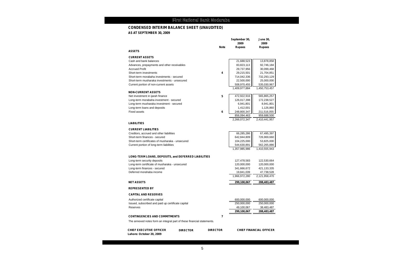## **CONDENSED INTERIM BALANCE SHEET (UNAUDITED)**

**AS AT SEPTEMBER 30, 2009**

|                                                                               | <b>Note</b>     | September 30,<br>2009<br><b>Rupees</b> | <b>June 30,</b><br>2009<br><b>Rupees</b> |
|-------------------------------------------------------------------------------|-----------------|----------------------------------------|------------------------------------------|
| <b>ASSETS</b>                                                                 |                 |                                        |                                          |
| <b>CURRENT ASSETS</b>                                                         |                 |                                        |                                          |
| Cash and bank balances                                                        |                 | 21,688,523                             | 13,878,858                               |
| Advances, prepayments and other receivables                                   |                 | 83,823,113                             | 92,746,184                               |
| <b>Accrued Profit</b>                                                         |                 | 29,737,956                             | 30,099,468                               |
| Short-term investments                                                        | 4               | 29,215,501                             | 21,704,851                               |
| Short-term morabaha investments - secured                                     |                 | 714,042,336                            | 732,293,129                              |
| Short-term musharaka investments - unsecured                                  |                 | 22,500,000                             | 25,000,000                               |
| Current portion of non-current assets                                         |                 | 508,970,455                            | 535,030,967                              |
|                                                                               |                 | 1,409,977,884                          | 1,450,753,457                            |
| <b>NON-CURRENT ASSETS</b>                                                     |                 |                                        |                                          |
| Net investment in ijarah finance                                              | 5               | 472,922,916                            | 565,865,257                              |
| Long-term morabaha investment - secured                                       |                 | 126,017,398                            | 172,238,527                              |
| Long-term musharaka investment - secured                                      |                 | 6,941,801                              | 8,941,801                                |
| Long-term loans and deposits                                                  |                 | 1,412,001                              | 1,126,860                                |
| <b>Fixed assets</b>                                                           | 6               | 248,800,347                            | 211,516,055                              |
|                                                                               |                 | 856,094,463                            | 959,688,500                              |
|                                                                               |                 | 2,266,072,347                          | 2,410,441,957                            |
| <b>LIABILITIES</b>                                                            |                 |                                        |                                          |
| <b>CURRENT LIABILITIES</b>                                                    |                 |                                        |                                          |
| Creditors, accrued and other liabilities                                      |                 | 66,285,286                             | 67,495,397                               |
| Short-term finances - secured                                                 |                 | 642,844,809                            | 726,969,660                              |
| Short-term certificates of musharaka - unsecured                              |                 | 104,225,000                            | 53,825,000                               |
| Current portion of long-term liabilities                                      |                 | 544,630,891                            | 562,265,886                              |
|                                                                               |                 | 1,357,985,986                          | 1,410,555,943                            |
| LONG-TERM LOANS, DEPOSITS, and DEFERRED LIABILITIES                           |                 |                                        |                                          |
| Long-term security deposits                                                   |                 | 127,478,583                            | 122,530,664                              |
| Long-term certificate of musharaka - unsecured                                |                 | 120,000,000                            | 120,000,000                              |
| Long-term finances - secured                                                  |                 | 341,666,672                            | 421,133,335                              |
| Deferred morahaba income                                                      |                 | 19,841,039                             | 47,738,528                               |
|                                                                               |                 | 1,966,972,280                          | 2,121,958,470                            |
| <b>NET ASSETS</b>                                                             |                 | 299,100,067                            | 288,483,487                              |
| <b>REPRESENTED BY</b>                                                         |                 |                                        |                                          |
| <b>CAPITAL AND RESERVES</b>                                                   |                 |                                        |                                          |
| Authorized certificate capital                                                |                 | 600,000,000                            | 600,000,000                              |
| Issued, subscribed and paid up certificate capital                            |                 | 250,000,000                            | 250,000,000                              |
| Reserves                                                                      |                 | 49,100,067                             | 38,483,487                               |
|                                                                               |                 | 299,100,067                            | 288,483,487                              |
| <b>CONTINGENCIES AND COMMITMENTS</b>                                          | $\overline{7}$  |                                        |                                          |
| The annexed notes form an integral part of these financial statements.        |                 |                                        |                                          |
| <b>CHIEF EXECUTIVE OFFICER</b><br><b>DIRECTOR</b><br>Lahore: October 20, 2009 | <b>DIRECTOR</b> |                                        | <b>CHIEF FINANCIAL OFFICER</b>           |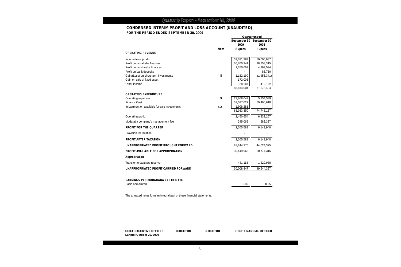#### **CONDENSED INTERIM PROFIT AND LOSS ACCOUNT (UNAUDITED) FOR THE PERIOD ENDED SEPTEMBER 30, 2009**

|                                              |             | 2009          | September 30 September 30<br>2008 |
|----------------------------------------------|-------------|---------------|-----------------------------------|
|                                              | <b>Note</b> | <b>Rupees</b> | <b>Rupees</b>                     |
| <b>OPERATING REVENUE</b>                     |             |               |                                   |
| Income from ijarah                           |             | 52,381,283    | 50,006,987                        |
| Profit on morabaha finances                  |             | 30,700,341    | 28,758,315                        |
| Profit on musharaka finances                 |             | 1,350,069     | 4,269,594                         |
| Profit on bank deposits                      |             |               | 86,750                            |
| Gain/(Loss) on short-term investments        | 8           | 1,182,190     | (1,955,341)                       |
| Gain on sale of fixed asset                  |             | 172,003       |                                   |
| Other income                                 |             | 28,118        | 412,119                           |
|                                              |             | 85,814,004    | 81,578,424                        |
| <b>OPERATING EXPENDITURE</b>                 |             |               |                                   |
| Operating expenses                           | 9           | 23,868,042    | 5,254,539                         |
| <b>Finance Cost</b>                          |             | 57,587,027    | 69,490,618                        |
| Impairment on available for sale investments | 4.2         | 1,908,281     |                                   |
|                                              |             | 83,363,350    | 74,745,157                        |
| Operating profit                             |             | 2,450,654     | 6,833,267                         |
| Modaraba company's management fee            |             | 245,065       | 683,327                           |
| <b>PROFIT FOR THE QUARTER</b>                |             | 2,205,589     | 6,149,940                         |
| Provision for taxation                       |             |               |                                   |
| <b>PROFIT AFTER TAXATION</b>                 |             | 2,205,589     | 6,149,940                         |
| UNAPPROPRIATED PROFIT BROUGHT FORWARD        |             | 28,244,376    | 44,624,375                        |
| PROFIT AVAILABLE FOR APPROPRIATION           |             | 30,449,965    | 50,774,315                        |
| Appropriation                                |             |               |                                   |
| Transfer to statutory reserve                |             | 441,118       | 1,229,988                         |
| UNAPPROPRIATED PROFIT CARRIED FORWARD        |             | 30,008,847    | 49,544,327                        |
|                                              |             |               |                                   |
| <b>EARNINGS PER MODARABA CERTIFICATE</b>     |             |               |                                   |
| Basic and diluted                            |             | 0.09          | 0.25                              |

The annexed notes form an integral part of these financial statements.

**CHIEF EXECUTIVE OFFICER DIRECTOR DIRECTOR CHIEF FINANCIAL OFFICER Lahore: October 20, 2009**

**Quarter ended**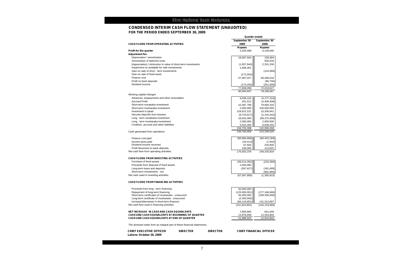**Quarter ended**

#### **CONDENSED INTERIM CASH FLOW STATEMENT (UNAUDITED) FOR THE PERIOD ENDED SEPTEMBER 30, 2009**

|                                                                        |                 |                 | September 30               | September 30                   |
|------------------------------------------------------------------------|-----------------|-----------------|----------------------------|--------------------------------|
| <b>CASH FLOWS FROM OPERATING ACTIVITIES</b>                            |                 |                 | 2009                       | 2008                           |
| <b>Profit for the quarter</b>                                          |                 |                 | <b>Rupees</b><br>2,205,589 | <b>Rupees</b><br>6,149,940     |
| <b>Adjustment for:</b>                                                 |                 |                 |                            |                                |
| Depreciation / amortization                                            |                 |                 | 19,697,943                 | 159,384                        |
| Amortization of deferred costs                                         |                 |                 |                            | 500,034                        |
| (Appreciation) / diminution in value of short-term investments         |                 |                 | (1,007,940)                | 2,331,330                      |
| Impairment on available for sale investments                           |                 |                 | 1,908,281                  |                                |
| Gain on sale of short - term investments                               |                 |                 |                            | (124, 089)                     |
| Gain on sale of fixed asset                                            |                 |                 | (172,003)                  |                                |
| Finance cost                                                           |                 |                 | 57,587,027                 | 69,490,618                     |
| Profit on bank deposits                                                |                 |                 |                            | (86, 750)                      |
| Dividend income                                                        |                 |                 | (174, 250)                 | (251,900)                      |
|                                                                        |                 |                 | 77,839,058                 | 72,018,627                     |
|                                                                        |                 |                 | 80,044,647                 | 78,168,567                     |
| Working capital changes                                                |                 |                 |                            |                                |
| Advances, prepayments and other receivables                            |                 |                 | 9,038,118                  | (4, 177, 224)                  |
| <b>Accrued Profit</b><br>Short-term morabaha investment                |                 |                 | 261,512                    | (4,408,406)                    |
| Short-term musharaka investment                                        |                 |                 | 10,387,799<br>2,500,000    | 79,060,334<br>100,000,000      |
| Investment in ijarah                                                   |                 |                 | 118,615,222                | 10,306,941                     |
| Security deposits from lessees                                         |                 |                 | (9,725,627)                | (2, 154, 442)                  |
| Long - term morabaha investment                                        |                 |                 | 18,625,000                 | (58, 375, 000)                 |
| Long - term musharaka investment                                       |                 |                 | 2,000,000                  | 2,000,000                      |
| Creditors, accrued and other liabilities                               |                 |                 | 5,023,284                  | 9,838,255                      |
|                                                                        |                 |                 | 156,725,308                | 132,090,458                    |
| Cash generated from operations                                         |                 |                 | 236,769,955                | 210,259,025                    |
| Finance cost paid                                                      |                 |                 | (60, 984, 666)             | (64, 442, 184)                 |
| Income taxes paid                                                      |                 |                 | (20, 413)                  | (1,642)                        |
| Dividend income received                                               |                 |                 | 67,500                     | 226,900                        |
| Profit Received on bank deposits                                       |                 |                 | 100,000                    | 113,825                        |
| Net cash flow from operating activities                                |                 |                 | 175,932,376                | 146,155,924                    |
| <b>CASH FLOWS FROM INVESTING ACTIVITIES</b>                            |                 |                 |                            |                                |
| Purchase of fixed assets                                               |                 |                 | (59, 214, 282)             | (216, 360)                     |
| Proceeds from disposal of fixed assets                                 |                 |                 | 2,404,050                  |                                |
| Long-term loans and deposits                                           |                 |                 | (287, 627)                 | (181, 695)                     |
| Short-term investments - net                                           |                 |                 |                            | (952, 860)                     |
| Net cash used in investing activities                                  |                 |                 | (57,097,859)               | (1,350,915)                    |
| <b>CASH FLOWS FROM FINANCING ACTIVITIES</b>                            |                 |                 |                            |                                |
| Proceeds from long - term financing                                    |                 |                 | 50,000,000                 |                                |
| Repayment of long-term financing                                       |                 |                 | (125,000,001)              | (177, 166, 666)                |
| Short-term certificates of musharaka - unsecured                       |                 |                 | 50,400,000                 | (108, 300, 000)                |
| Long-term certificate of musharaka - unsecured                         |                 |                 | (2,300,000)                |                                |
| Increase/(decrease) in short-term finances                             |                 |                 | (84, 124, 851)             | 141,312,697                    |
| Net cash flow used in financing activities                             |                 |                 | (111, 024, 852)            | (144, 153, 969)                |
| <b>NET INCREASE IN CASH AND CASH EQUIVALENTS</b>                       |                 |                 | 7,809,665                  | 651,040                        |
| <b>CASH AND CASH EQUIVALENTS AT BEGINNING OF QUARTER</b>               |                 |                 | 13,878,858                 | 12,264,803                     |
| CASH AND CASH EQUIVALENTS AT END OF QUARTER                            |                 |                 | 21,688,523                 | 12,915,843                     |
| The annexed notes form an integral part of these financial statements. |                 |                 |                            |                                |
| <b>CHIEF EXECUTIVE OFFICER</b><br>Lahore: October 20, 2009             | <b>DIRECTOR</b> | <b>DIRECTOR</b> |                            | <b>CHIEF FINANCIAL OFFICER</b> |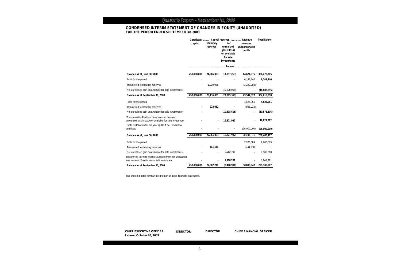#### **CONDENSED INTERIM STATEMENT OF CHANGES IN EQUITY (UNAUDITED) FOR THE PERIOD ENDED SEPTEMBER 30, 2009**

|                                                                                                              | capital     | <b>Statutory</b><br>reserves | Certificate Capital reserves Revenue<br>Net<br>unrealized<br>gain / (loss)<br>on available<br>for sale<br>investments | reserves<br>Unappropriated<br>profits | <b>Total Equity</b> |
|--------------------------------------------------------------------------------------------------------------|-------------|------------------------------|-----------------------------------------------------------------------------------------------------------------------|---------------------------------------|---------------------|
| Balance as at June 30, 2008                                                                                  | 250,000,000 | 24,906,093                   | (13,057,263)                                                                                                          | 44,624,375                            | 306,473,205         |
| Profit for the period                                                                                        |             |                              |                                                                                                                       | 6,149,940                             | 6,149,940           |
| Transferred to statutory reserves                                                                            |             | 1,229,988                    |                                                                                                                       | (1,229,988)                           |                     |
| Net unrealised gain on available for sale investments                                                        |             |                              | (10,008,095)                                                                                                          | $\overline{\phantom{a}}$              | (10,008,095)        |
| Balance as at September 30, 2008                                                                             | 250,000,000 | 26,136,081                   | (23,065,358)                                                                                                          | 49,544,327                            | 302,615,050         |
| Profit for the period                                                                                        |             |                              |                                                                                                                       | 4,625,061                             | 4,625,061           |
| Transferred to statutory reserves                                                                            |             | 925,012                      |                                                                                                                       | (925, 012)                            |                     |
| Net unrealised gain on available for sale investments                                                        |             |                              | (10, 578, 606)                                                                                                        |                                       | (10, 578, 606)      |
| Transferred to Profit and loss account from net<br>unrealised loss in value of available for sale investment |             |                              | 16,821,982                                                                                                            |                                       | 16,821,982          |
| Profit Distribution for the year @ Re.1 per modaraba<br>certificate                                          |             |                              |                                                                                                                       | (25,000,000)                          | (25,000,000)        |
| Balance as at June 30, 2009                                                                                  | 250,000,000 | 27,061,093                   | (16, 821, 982)                                                                                                        | 28,244,376                            | 288,483,487         |
| Profit for the period                                                                                        |             |                              |                                                                                                                       | 2,205,589                             | 2,205,589           |
| Transferred to statutory reserves                                                                            |             | 441,118                      |                                                                                                                       | (441, 118)                            |                     |
| Net unrealised gain on available for sale investments                                                        |             |                              | 6,502,710                                                                                                             |                                       | 6,502,710           |
| Transferred to Profit and loss account from net unrealised<br>loss in value of available for sale investment |             |                              | 1,908,281                                                                                                             |                                       | 1,908,281           |
| Balance as at September 30, 2009                                                                             | 250.000.000 | 27,502,211                   | (8,410,991)                                                                                                           | 30,008,847                            | 299,100,067         |

The annexed notes form an integral part of these financial statements.

**CHIEF EXECUTIVE OFFICER DIRECTOR DIRECTOR CHIEF FINANCIAL OFFICER Lahore: October 20, 2009**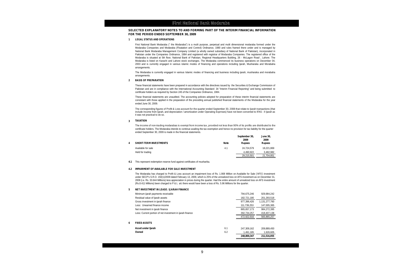#### **SELECTED EXPLANATORY NOTES TO AND FORMING PART OF THE INTERIM FINANCIAL INFORMATION FOR THE PERIOD ENDED SEPTEMBER 30, 2009**

#### **1 LEGAL STATUS AND OPERATIONS**

First National Bank Modaraba (" the Modaraba") is a multi purpose, perpetual and multi dimensional modaraba formed under the Modaraba Companies and Modaraba (Floatation and Control) Ordinance, 1980 and rules framed there under and is managed by National Bank Modaraba Management Company Limited (a wholly owned subsidiary of National Bank of Pakistan), incorporated in Pakistan under the Companies Ordinance, 1984 and registered with registrar of Modaraba Companies. The registered office of the Modaraba is situated at 5th floor, National Bank of Pakistan, Regional Headquarters Building, 26 - McLagon Road , Lahore. The Modaraba is listed on Karachi and Lahore stock exchanges. The Modaraba commenced its business operations on December 04, 2003 and is currently engaged in various islamic modes of financing and operations including Ijarah, Musharaka and Morabaha arrangements.

The Modaraba is currently engaged in various Islamic modes of financing and business including ijarah, musharaka and morabaha arrangements.

#### **2 BASIS OF PREPARATION**

These financial statements have been prepared in accordance with the directives issued by the Securities & Exchange Commission of Pakistan and are in compliance with the International Accounting Standard 34 "Interim Financial Reporting" and being submitted to certificate holders as required by Section 245 of the Companies Ordinance, 1984.

These financial statements are unaudited. The accounting policies adopted for preparation of these interim financial statements are consistant with those applied in the preparation of the preceding annual published financial statements of the Modaraba for the year ended June 30, 2009.

The corresponding figures of Profit & Loss account for the quarter ended September 30, 2008 that relate to Ijarah transactions (that include Income from Ijarah, and depreciation / amortization under Operating Exprnses) have not been converted to IFAS - II Ijarah as it was not practical to do so.

#### **3 TAXATION**

 certificate holders. The Modaraba intends to continue availing the tax exemption and hence no provision for tax liability for the quarter The income of non-trading modarabas is exempt from income tax, provided not less than 90% of its profits are distributed to the ended September 30, 2009 is made in the financial statements.

|   | ended September 30, 2009 is made in the financial statements. | September 30, | <b>June 30.</b>       |                       |
|---|---------------------------------------------------------------|---------------|-----------------------|-----------------------|
| 4 | <b>SHORT-TERM INVESTMENTS</b>                                 | <b>Note</b>   | 2009<br><b>Rupees</b> | 2009<br><b>Rupees</b> |
|   | Available for sale                                            | 4.1           | 24.724.579            | 18,221,869            |
|   | Held for trading                                              |               | 4.490.922             | 3,482,982             |
|   |                                                               |               | 29.215.501            | 21.704.851            |

**4.1** This represent redemption reserve fund against certificates of musharika.

#### **4.2 IMPAIRMENT OF AVAILABLE FOR SALE INVESTMENT**

The Modaraba has charged to Profit & Loss account an impairment loss of Rs. 1.908 Million on Available for Sale ('AFS') investment under SECP's S.R.O. 150(1)/2009 dated February 13, 2009, which is 25% of the unrealized loss on AFS investment as on December 31, 2008 (i.e. Rs. 33.644 Millions) less appreciation in prices during the quarter. Had the entire amount of unrealized loss on AFS investment (Rs.8.411 Millions) been charged to P & L a/c there would have been a loss of Rs. 5.96 Millions for the quarter.

#### **5 NET INVESTMENT IN LEASE / IJARAH FINANCE**

|   | Minimum ijarah payments receivable                        |     | 794,675,246 | 929,984,242   |
|---|-----------------------------------------------------------|-----|-------------|---------------|
|   | Residual value of liarah assets                           |     | 182.721.180 | 201,293,518   |
|   | Gross investment in ijarah finance                        |     | 977,396,426 | 1,131,277,760 |
|   | Less: Unearned finance income                             |     | 111,739,253 | 147,005,365   |
|   | Net investment in ijarah finance                          |     | 865,657,173 | 984,272,395   |
|   | Less: Current portion of net investment in ijarah finance |     | 392.734.257 | 418,407,138   |
|   |                                                           |     | 472.922.916 | 565.865.257   |
| 6 | <b>FIXED ASSETS</b>                                       |     |             |               |
|   | Asset under Ijarah                                        | 6.1 | 247.309.162 | 209,889,450   |
|   | Owned                                                     | 6.2 | 1,491,185   | 1,626,605     |
|   |                                                           |     | 248,800,347 | 211,516,055   |
|   |                                                           |     |             |               |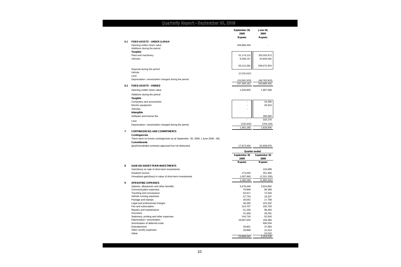|     |                                                                                                                             | September 30,<br>2009 | <b>June 30,</b><br>2009 |
|-----|-----------------------------------------------------------------------------------------------------------------------------|-----------------------|-------------------------|
|     |                                                                                                                             | Rupees                | <b>Rupees</b>           |
| 6.1 | <b>FIXED ASSETS - UNDER IJARAH</b>                                                                                          |                       |                         |
|     | Opening written down value                                                                                                  | 209,889,450           |                         |
|     | Additions during the period                                                                                                 |                       |                         |
|     | <b>Tangible</b>                                                                                                             |                       |                         |
|     | Plant and machinery                                                                                                         | 51,176,115            | 202,823,671             |
|     | Vehicles                                                                                                                    | 8,038,167             | 55,849,282              |
|     |                                                                                                                             |                       |                         |
|     |                                                                                                                             | 59,214,282            | 258,672,953             |
|     | Disposal during the period<br>Vehicle                                                                                       |                       |                         |
|     | Less:                                                                                                                       | (2,232,047)           |                         |
|     | Depreciation / amortization charged during the period                                                                       | (19, 562, 523)        | (48, 783, 503)          |
|     |                                                                                                                             | 247,309,162           | 209,889,450             |
| 6.2 | <b>FIXED ASSETS - OWNED</b>                                                                                                 |                       |                         |
|     | Opening written down value                                                                                                  | 1,626,605             | 1,997,569               |
|     | Additions during the period                                                                                                 |                       |                         |
|     | <b>Tangible</b>                                                                                                             |                       |                         |
|     | Computers and accessories                                                                                                   |                       | 16,360                  |
|     | Electric equipment                                                                                                          |                       | 26,910                  |
|     | Vehicles                                                                                                                    |                       |                         |
|     | Intangible                                                                                                                  |                       |                         |
|     | Software and license fee                                                                                                    |                       | 290,000                 |
|     | Less:                                                                                                                       |                       | 333,270                 |
|     | Depreciation / amortization charged during the period                                                                       | (135, 420)            | (704, 234)              |
|     |                                                                                                                             | 1,491,185             | 1,626,605               |
|     | <b>Contingencies</b><br>There were no known contingencies as at September 30, 2009. (June 2009 : Nil)<br><b>Commitments</b> |                       |                         |
|     | Ijarah/morahaba contracts approved but not disbursed.                                                                       | 17,873,400            | 52,838,976              |
|     |                                                                                                                             | Quarter ended         |                         |
|     |                                                                                                                             | September 30          | September 30            |
|     |                                                                                                                             | 2009                  | 2008                    |
|     |                                                                                                                             | Rupees                | <b>Rupees</b>           |
| 8   | <b>GAIN ON SHORT-TERM INVESTMENTS</b>                                                                                       |                       |                         |
|     | Gain/(loss) on sale of short-term investments                                                                               |                       | 124,089                 |
|     | Dividend income<br>Unrealized gain/(loss) in value of short-term investments                                                | 174,250<br>1,007,940  | 251,900<br>(2,331,330)  |
|     |                                                                                                                             | 1,182,190             | (1,955,341)             |
| 9   | <b>OPERATING EXPENSES</b>                                                                                                   |                       |                         |
|     | Salaries, allowances and other benefits                                                                                     | 3,476,048             | 3,924,962               |
|     | Communication expenses                                                                                                      | 78,898                | 90,369                  |
|     | Traveling and conveyance                                                                                                    | 62.617                | 72.444                  |
|     | Vehicle running expenses                                                                                                    | 57,734                | 19,207                  |
|     | Postage and stamps                                                                                                          | 26,642                | 17,758                  |
|     | Legal and professional charges<br>Fee and subscription                                                                      | 46,266<br>124,707     | 101,632<br>105,750      |
|     | Repairs and maintenance                                                                                                     | 51,236                | 99,455                  |
|     | Insurance                                                                                                                   | 31,458                | 28,291                  |
|     | Stationery, printing and other expenses                                                                                     | 144,734               | 52,545                  |
|     | Depreciation / amortization                                                                                                 | 19,697,943            | 159,384                 |
|     | Amortization of deferred costs                                                                                              |                       | 500,034                 |
|     | Entertainment                                                                                                               | 39,861                | 37,684                  |
|     | Other sundry expenses                                                                                                       | 29,898                | 21,014                  |
|     | Zakat                                                                                                                       | 23,868,042            | 24,010<br>5,254,539     |
|     |                                                                                                                             |                       |                         |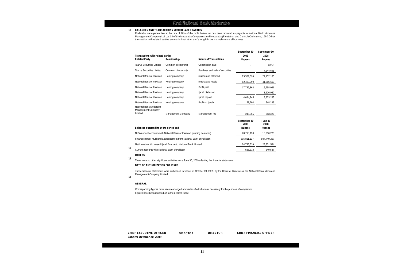#### **10 BALANCES AND TRANSACTIONS WITH RELATED PARTIES**

Modaraba management fee at the rate of 10% of the profit before tax has been recorded as payable to National Bank Modaraba Management Company Ltd U/s 18 of the Modaraba Companies and Modaraba (Floatation and Control) Ordinance, 1980.Other<br>transaction with related parties are carried out at an arm's length in the normal course of business.

| Transactions with related parties                                 |                                                                         | <b>Nature of Transactions</b>   | September 30<br>2009 | September 30<br>2008 |
|-------------------------------------------------------------------|-------------------------------------------------------------------------|---------------------------------|----------------------|----------------------|
| <b>Related Party</b>                                              | Relationship                                                            |                                 | <b>Rupees</b>        | <b>Rupees</b>        |
| <b>Taurus Securities Limited</b>                                  | Common directorship                                                     | Commission paid                 |                      | 6,250                |
| <b>Taurus Securities Limited</b>                                  | Common directorship                                                     | Purchase and sale of securities |                      | 7,244,691            |
| National Bank of Pakistan                                         | Holding company                                                         | musharaka obtained              | 73,561,899           | 22,432,183           |
| National Bank of Pakistan                                         | Holding company                                                         | musharaka repaid                | 62,499,999           | 41,666,667           |
| National Bank of Pakistan                                         | Holding company                                                         | Profit paid                     | 17,789,863           | 15,298,031           |
| National Bank of Pakistan                                         | Holding company                                                         | ljarah disbursed                |                      | 3,626,950            |
| National Bank of Pakistan                                         | Holding company                                                         | ljarah repaid                   | 4,034,945            | 3,833,285            |
| National Bank of Pakistan                                         | Holding company                                                         | Profit on Ijarah                | 1,158,204            | 548,293              |
| National Bank Modaraba<br><b>Management Company</b><br>Limited    |                                                                         |                                 |                      |                      |
|                                                                   | <b>Management Company</b>                                               | Management fee                  | 245.065              | 683,327              |
|                                                                   |                                                                         |                                 | September 30<br>2009 | June 30<br>2008      |
| Balances outstanding at the period end                            |                                                                         |                                 | <b>Rupees</b>        | <b>Rupees</b>        |
|                                                                   | NIDA/current accounts with National Bank of Pakistan (running balances) |                                 | 20,798,193           | 10,356,275           |
|                                                                   | Finances under musharaka arrangement from National Bank of Pakistan     |                                 | 605,811,107          | 594,749,207          |
| Net investment in lease / Ijarah finance to National Bank Limited |                                                                         | 24,796,639                      | 28,831,584           |                      |
| Current accounts with National Bank of Pakistan                   |                                                                         |                                 | 538,318              | 649,537              |
|                                                                   |                                                                         |                                 |                      |                      |

#### **OTHERS**

There were no other significant activities since June 30, 2009 affecting the financial statements. **12**

#### **DATE OF AUTHORIZATION FOR ISSUE**

These financial statements were authorized for issue on October 20, 2009 by the Board of Directors of the National Bank Modaraba Management Company Limited.

#### **GENERAL**

**13**

Corresponding figures have been rearranged and reclassified wherever necessary for the purpose of comparison. Figures have been rounded off to the nearest rupee.

**CHIEF EXECUTIVE OFFICER DIRECTOR DIRECTOR CHIEF FINANCIAL OFFICER Lahore: October 20, 2009**